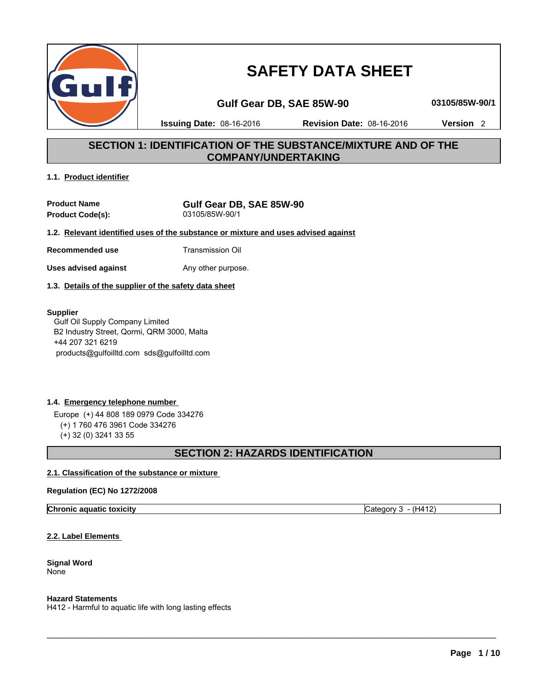

# **SAFETY DATA SHEET**

# **Gulf Gear DB, SAE 85W-90 03105/85W-90/1**

**Issuing Date:** 08-16-2016 **Revision Date:** 08-16-2016 **Version** 2

# **SECTION 1: IDENTIFICATION OF THE SUBSTANCE/MIXTURE AND OF THE COMPANY/UNDERTAKING**

# **1.1. Product identifier**

**Product Name**<br>**Product Code(s):**<br> $03105/85W-90/1$ **Product Code(s):** 

**1.2. Relevant identified uses of the substance or mixture and uses advised against**

**Recommended use** Transmission Oil

**Uses advised against** Any other purpose.

**1.3. Details of the supplier of the safety data sheet**

# **Supplier**

 Gulf Oil Supply Company Limited B2 Industry Street, Qormi, QRM 3000, Malta +44 207 321 6219 products@gulfoilltd.com sds@gulfoilltd.com

# **1.4. Emergency telephone number**

 Europe (+) 44 808 189 0979 Code 334276 (+) 1 760 476 3961 Code 334276 (+) 32 (0) 3241 33 55

# **SECTION 2: HAZARDS IDENTIFICATION**

 $\mathcal{L}_\mathcal{L}$  , and the set of the set of the set of the set of the set of the set of the set of the set of the set of the set of the set of the set of the set of the set of the set of the set of the set of the set of th

# **2.1. Classification of the substance or mixture**

# **Regulation (EC) No 1272/2008**

**Chronic aquatic toxicity** Category 3 - (H412)

**2.2. Label Elements** 

**Signal Word** None

**Hazard Statements**

H412 - Harmful to aquatic life with long lasting effects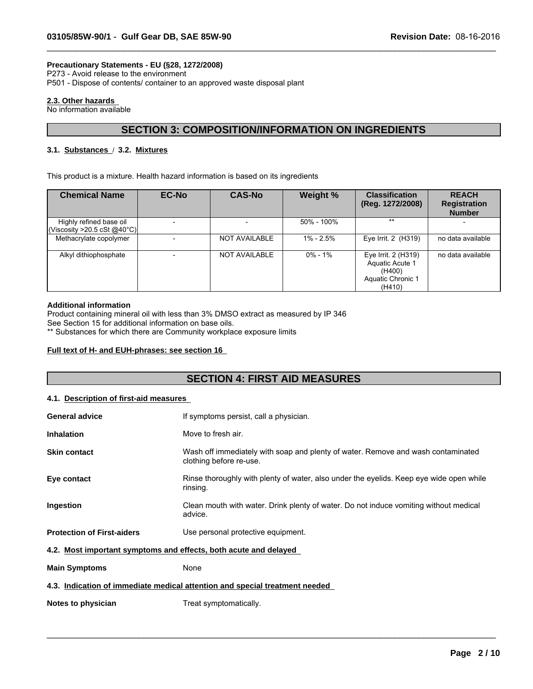# **Precautionary Statements - EU (§28, 1272/2008)**

P273 - Avoid release to the environment

P501 - Dispose of contents/ container to an approved waste disposal plant

# **2.3. Other hazards**

No information available

# **SECTION 3: COMPOSITION/INFORMATION ON INGREDIENTS**

 $\_$  ,  $\_$  ,  $\_$  ,  $\_$  ,  $\_$  ,  $\_$  ,  $\_$  ,  $\_$  ,  $\_$  ,  $\_$  ,  $\_$  ,  $\_$  ,  $\_$  ,  $\_$  ,  $\_$  ,  $\_$  ,  $\_$  ,  $\_$  ,  $\_$  ,  $\_$  ,  $\_$  ,  $\_$  ,  $\_$  ,  $\_$  ,  $\_$  ,  $\_$  ,  $\_$  ,  $\_$  ,  $\_$  ,  $\_$  ,  $\_$  ,  $\_$  ,  $\_$  ,  $\_$  ,  $\_$  ,  $\_$  ,  $\_$  ,

# **3.1. Substances** / **3.2. Mixtures**

This product is a mixture. Health hazard information is based on its ingredients

| <b>Chemical Name</b>                                    | <b>EC-No</b> | <b>CAS-No</b>        | Weight %      | <b>Classification</b><br>(Reg. 1272/2008)                                              | <b>REACH</b><br><b>Registration</b><br><b>Number</b> |
|---------------------------------------------------------|--------------|----------------------|---------------|----------------------------------------------------------------------------------------|------------------------------------------------------|
| Highly refined base oil<br>(Viscosity > 20.5 cSt @40°C) |              |                      | 50% - 100%    | $***$                                                                                  |                                                      |
| Methacrylate copolymer                                  |              | <b>NOT AVAILABLE</b> | $1\% - 2.5\%$ | Eye Irrit. 2 (H319)                                                                    | no data available                                    |
| Alkyl dithiophosphate                                   |              | <b>NOT AVAILABLE</b> | $0\% - 1\%$   | Eye Irrit. 2 (H319)<br><b>Aquatic Acute 1</b><br>(H400)<br>Aquatic Chronic 1<br>(H410) | no data available                                    |

#### **Additional information**

Product containing mineral oil with less than 3% DMSO extract as measured by IP 346

See Section 15 for additional information on base oils.

\*\* Substances for which there are Community workplace exposure limits

# **Full text of H- and EUH-phrases: see section 16**

# **SECTION 4: FIRST AID MEASURES**

### **4.1. Description of first-aid measures**

| <b>General advice</b>                                            | If symptoms persist, call a physician.                                                                      |
|------------------------------------------------------------------|-------------------------------------------------------------------------------------------------------------|
| <b>Inhalation</b>                                                | Move to fresh air.                                                                                          |
| <b>Skin contact</b>                                              | Wash off immediately with soap and plenty of water. Remove and wash contaminated<br>clothing before re-use. |
| Eye contact                                                      | Rinse thoroughly with plenty of water, also under the eyelids. Keep eye wide open while<br>rinsing.         |
| <b>Ingestion</b>                                                 | Clean mouth with water. Drink plenty of water. Do not induce vomiting without medical<br>advice.            |
| <b>Protection of First-aiders</b>                                | Use personal protective equipment.                                                                          |
| 4.2. Most important symptoms and effects, both acute and delayed |                                                                                                             |
| <b>Main Symptoms</b>                                             | None                                                                                                        |
|                                                                  | 4.3. Indication of immediate medical attention and special treatment needed                                 |
| Notes to physician                                               | Treat symptomatically.                                                                                      |

 $\_$  ,  $\_$  ,  $\_$  ,  $\_$  ,  $\_$  ,  $\_$  ,  $\_$  ,  $\_$  ,  $\_$  ,  $\_$  ,  $\_$  ,  $\_$  ,  $\_$  ,  $\_$  ,  $\_$  ,  $\_$  ,  $\_$  ,  $\_$  ,  $\_$  ,  $\_$  ,  $\_$  ,  $\_$  ,  $\_$  ,  $\_$  ,  $\_$  ,  $\_$  ,  $\_$  ,  $\_$  ,  $\_$  ,  $\_$  ,  $\_$  ,  $\_$  ,  $\_$  ,  $\_$  ,  $\_$  ,  $\_$  ,  $\_$  ,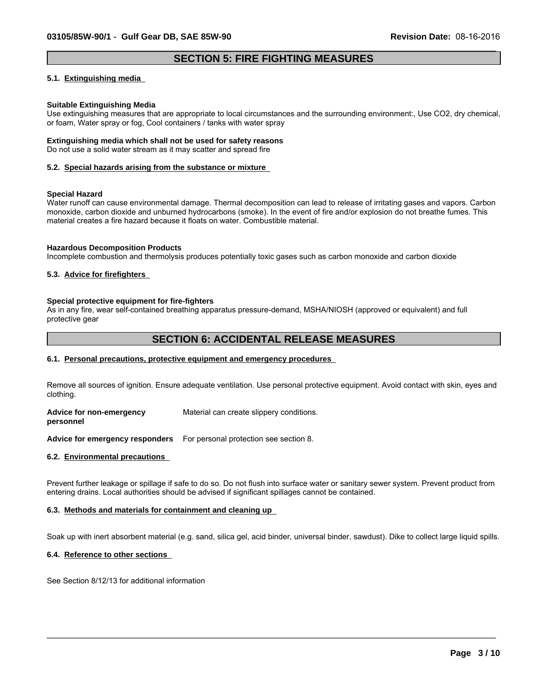# **SECTION 5: FIRE FIGHTING MEASURES**

 $\_$  ,  $\_$  ,  $\_$  ,  $\_$  ,  $\_$  ,  $\_$  ,  $\_$  ,  $\_$  ,  $\_$  ,  $\_$  ,  $\_$  ,  $\_$  ,  $\_$  ,  $\_$  ,  $\_$  ,  $\_$  ,  $\_$  ,  $\_$  ,  $\_$  ,  $\_$  ,  $\_$  ,  $\_$  ,  $\_$  ,  $\_$  ,  $\_$  ,  $\_$  ,  $\_$  ,  $\_$  ,  $\_$  ,  $\_$  ,  $\_$  ,  $\_$  ,  $\_$  ,  $\_$  ,  $\_$  ,  $\_$  ,  $\_$  ,

#### **5.1. Extinguishing media**

#### **Suitable Extinguishing Media**

Use extinguishing measures that are appropriate to local circumstances and the surrounding environment:, Use CO2, dry chemical, or foam, Water spray or fog, Cool containers / tanks with water spray

# **Extinguishing media which shall not be used for safety reasons**

Do not use a solid water stream as it may scatter and spread fire

#### **5.2. Special hazards arising from the substance or mixture**

#### **Special Hazard**

Water runoff can cause environmental damage. Thermal decomposition can lead to release of irritating gases and vapors. Carbon monoxide, carbon dioxide and unburned hydrocarbons (smoke). In the event of fire and/or explosion do not breathe fumes. This material creates a fire hazard because it floats on water. Combustible material.

#### **Hazardous Decomposition Products**

Incomplete combustion and thermolysis produces potentially toxic gases such as carbon monoxide and carbon dioxide

### **5.3. Advice for firefighters**

#### **Special protective equipment for fire-fighters**

As in any fire, wear self-contained breathing apparatus pressure-demand, MSHA/NIOSH (approved or equivalent) and full protective gear

# **SECTION 6: ACCIDENTAL RELEASE MEASURES**

#### **6.1. Personal precautions, protective equipment and emergency procedures**

Remove all sources of ignition. Ensure adequate ventilation. Use personal protective equipment. Avoid contact with skin, eyes and clothing.

**Advice for non-emergency** Material can create slippery conditions.

**personnel**

**Advice for emergency responders** For personal protection see section 8.

#### **6.2. Environmental precautions**

Prevent further leakage or spillage if safe to do so. Do not flush into surface water or sanitary sewer system. Prevent product from entering drains. Local authorities should be advised if significant spillages cannot be contained.

### **6.3. Methods and materials for containment and cleaning up**

Soak up with inert absorbent material (e.g. sand, silica gel, acid binder, universal binder, sawdust). Dike to collect large liquid spills.

 $\_$  ,  $\_$  ,  $\_$  ,  $\_$  ,  $\_$  ,  $\_$  ,  $\_$  ,  $\_$  ,  $\_$  ,  $\_$  ,  $\_$  ,  $\_$  ,  $\_$  ,  $\_$  ,  $\_$  ,  $\_$  ,  $\_$  ,  $\_$  ,  $\_$  ,  $\_$  ,  $\_$  ,  $\_$  ,  $\_$  ,  $\_$  ,  $\_$  ,  $\_$  ,  $\_$  ,  $\_$  ,  $\_$  ,  $\_$  ,  $\_$  ,  $\_$  ,  $\_$  ,  $\_$  ,  $\_$  ,  $\_$  ,  $\_$  ,

#### **6.4. Reference to other sections**

See Section 8/12/13 for additional information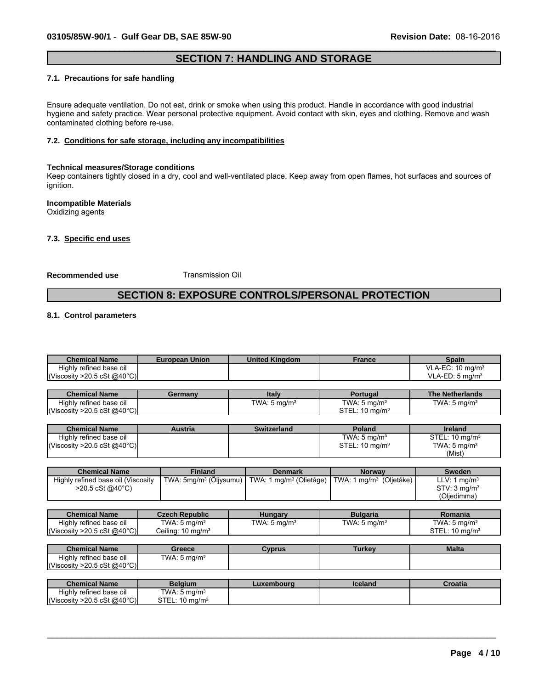# **SECTION 7: HANDLING AND STORAGE**

 $\_$  ,  $\_$  ,  $\_$  ,  $\_$  ,  $\_$  ,  $\_$  ,  $\_$  ,  $\_$  ,  $\_$  ,  $\_$  ,  $\_$  ,  $\_$  ,  $\_$  ,  $\_$  ,  $\_$  ,  $\_$  ,  $\_$  ,  $\_$  ,  $\_$  ,  $\_$  ,  $\_$  ,  $\_$  ,  $\_$  ,  $\_$  ,  $\_$  ,  $\_$  ,  $\_$  ,  $\_$  ,  $\_$  ,  $\_$  ,  $\_$  ,  $\_$  ,  $\_$  ,  $\_$  ,  $\_$  ,  $\_$  ,  $\_$  ,

#### **7.1. Precautions for safe handling**

Ensure adequate ventilation. Do not eat, drink or smoke when using this product. Handle in accordance with good industrial hygiene and safety practice. Wear personal protective equipment. Avoid contact with skin, eyes and clothing. Remove and wash contaminated clothing before re-use.

### **7.2. Conditions for safe storage, including any incompatibilities**

#### **Technical measures/Storage conditions**

Keep containers tightly closed in a dry, cool and well-ventilated place. Keep away from open flames, hot surfaces and sources of ignition.

#### **Incompatible Materials** Oxidizing agents

**7.3. Specific end uses**

#### **Recommended use** Transmission Oil

 $STEL: 10 mg/m<sup>3</sup>$ 

# **SECTION 8: EXPOSURE CONTROLS/PERSONAL PROTECTION**

# **8.1. Control parameters**

(Viscosity >20.5 cSt @40°C) STEL:

| <b>Chemical Name</b>                                                               | <b>European Union</b>              | <b>United Kingdom</b>               | <b>France</b>                       | <b>Spain</b>                 |
|------------------------------------------------------------------------------------|------------------------------------|-------------------------------------|-------------------------------------|------------------------------|
| Highly refined base oil                                                            |                                    |                                     |                                     | VLA-EC: 10 mg/m <sup>3</sup> |
| (Viscosity > 20.5 cSt $@40^{\circ}$ C)                                             |                                    |                                     |                                     | VLA-ED: $5 \text{ mg/m}^3$   |
|                                                                                    |                                    |                                     |                                     |                              |
| <b>Chemical Name</b>                                                               | Germany                            | <b>Italy</b>                        | Portugal                            | <b>The Netherlands</b>       |
| Highly refined base oil                                                            |                                    | TWA: $5 \text{ mg/m}^3$             | TWA: $5 \text{ mg/m}^3$             | TWA: $5 \text{ mg/m}^3$      |
| (Viscosity > 20.5 cSt @ 40 $^{\circ}$ C)                                           |                                    |                                     | STEL: $10 \text{ mg/m}^3$           |                              |
|                                                                                    |                                    |                                     |                                     |                              |
| <b>Chemical Name</b>                                                               | <b>Austria</b>                     | <b>Switzerland</b>                  | <b>Poland</b>                       | <b>Ireland</b>               |
| Highly refined base oil                                                            |                                    |                                     | TWA: $5 \text{ mg/m}^3$             | STEL: 10 mg/m <sup>3</sup>   |
| (Viscosity > 20.5 cSt $@40^{\circ}$ C)                                             |                                    |                                     | STEL: 10 mg/m <sup>3</sup>          | TWA: $5 \text{ mg/m}^3$      |
|                                                                                    |                                    |                                     |                                     | (Mist)                       |
|                                                                                    |                                    |                                     |                                     |                              |
| <b>Chemical Name</b>                                                               | <b>Finland</b>                     | <b>Denmark</b>                      | Norway                              | <b>Sweden</b>                |
| Highly refined base oil (Viscosity                                                 | TWA: 5mg/m <sup>3</sup> (Öljysumu) | TWA: 1 mg/m <sup>3</sup> (Olietåge) | TWA: 1 mg/m <sup>3</sup> (Oljetåke) | LLV: 1 mg/m <sup>3</sup>     |
| $>20.5 \text{ cSt } @40^{\circ}C)$                                                 |                                    |                                     |                                     | STV: 3 mg/m <sup>3</sup>     |
|                                                                                    |                                    |                                     |                                     | (Oljedimma)                  |
|                                                                                    |                                    |                                     |                                     |                              |
| <b>Chemical Name</b>                                                               | <b>Czech Republic</b>              | <b>Hungary</b>                      | <b>Bulgaria</b>                     | Romania                      |
| Highly refined base oil                                                            | TWA: $5 \text{ mg/m}^3$            | TWA: $5 \text{ mg/m}^3$             | TWA: 5 mg/m <sup>3</sup>            | TWA: $5 \text{ mg/m}^3$      |
|                                                                                    |                                    |                                     |                                     |                              |
|                                                                                    | Ceiling: $10 \text{ mg/m}^3$       |                                     |                                     | STEL: $10 \text{ mg/m}^3$    |
|                                                                                    |                                    |                                     |                                     |                              |
| <b>Chemical Name</b>                                                               | Greece                             | <b>Cyprus</b>                       | <b>Turkey</b>                       | <b>Malta</b>                 |
| Highly refined base oil                                                            | TWA: $5 \text{ mg/m}^3$            |                                     |                                     |                              |
|                                                                                    |                                    |                                     |                                     |                              |
| (Viscosity > 20.5 cSt @ 40 $^{\circ}$ C)<br>(Viscosity > 20.5 cSt $@40^{\circ}$ C) |                                    |                                     |                                     |                              |
| <b>Chemical Name</b>                                                               | <b>Belgium</b>                     | Luxembourg                          | <b>Iceland</b>                      | <b>Croatia</b>               |

\_\_\_\_\_\_\_\_\_\_\_\_\_\_\_\_\_\_\_\_\_\_\_\_\_\_\_\_\_\_\_\_\_\_\_\_\_\_\_\_\_\_\_\_\_\_\_\_\_\_\_\_\_\_\_\_\_\_\_\_\_\_\_\_\_\_\_\_\_\_\_\_\_\_\_\_\_\_\_\_\_\_\_\_\_\_\_\_\_\_\_\_\_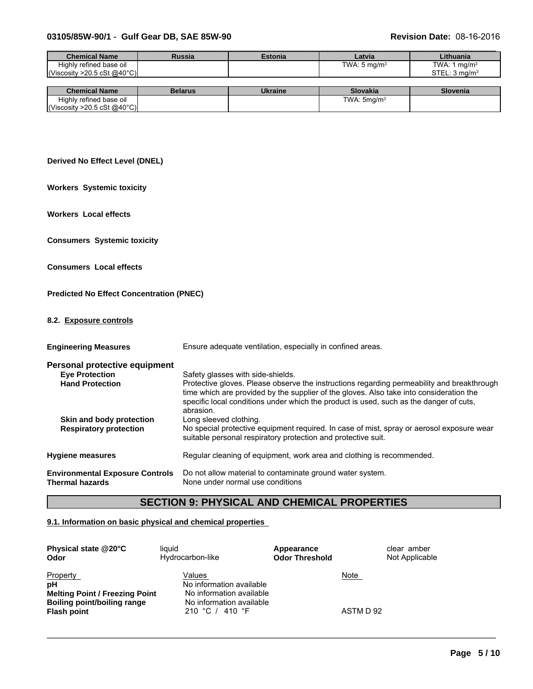# **03105/85W-90/1** - **Gulf Gear DB, SAE 85W-90 Revision Date:** 08-16-2016

| <b>Chemical Name</b>                | <b>Russia</b>  | <b>Estonia</b>   | Latvia                   | Lithuania                 |
|-------------------------------------|----------------|------------------|--------------------------|---------------------------|
| Highly refined base oil             |                |                  | TWA: 5 mg/m <sup>3</sup> | TWA: 1 mg/m $3$           |
| $\vert$ (Viscosity >20.5 cSt @40°C) |                |                  |                          | STEL: 3 ma/m <sup>3</sup> |
|                                     |                |                  |                          |                           |
| Chamisal Name                       | <b>Dalarus</b> | <b>Illeraina</b> | Clevelis                 | Clavania                  |

| <b>Chemical Name</b>               | Belarus | <b>Ukraine</b> | <b>Slovakia</b>  | Slovenia |
|------------------------------------|---------|----------------|------------------|----------|
| Highly<br>--<br>refined base oil / |         |                | : 5ma/mª<br>TWA: |          |
| ∴>20.5 cSt @40°C) <br>Viscosity    |         |                |                  |          |

# **Derived No Effect Level (DNEL)**

**Workers Systemic toxicity**

**Workers Local effects**

**Consumers Systemic toxicity**

**Consumers Local effects**

# **Predicted No Effect Concentration (PNEC)**

# **8.2. Exposure controls**

| <b>Engineering Measures</b>                                      | Ensure adequate ventilation, especially in confined areas.                                                                                                                                                                                                                                   |
|------------------------------------------------------------------|----------------------------------------------------------------------------------------------------------------------------------------------------------------------------------------------------------------------------------------------------------------------------------------------|
| Personal protective equipment                                    |                                                                                                                                                                                                                                                                                              |
| <b>Eye Protection</b>                                            | Safety glasses with side-shields.                                                                                                                                                                                                                                                            |
| <b>Hand Protection</b>                                           | Protective gloves. Please observe the instructions regarding permeability and breakthrough<br>time which are provided by the supplier of the gloves. Also take into consideration the<br>specific local conditions under which the product is used, such as the danger of cuts,<br>abrasion. |
| Skin and body protection                                         | Long sleeved clothing.                                                                                                                                                                                                                                                                       |
| <b>Respiratory protection</b>                                    | No special protective equipment required. In case of mist, spray or aerosol exposure wear<br>suitable personal respiratory protection and protective suit.                                                                                                                                   |
| <b>Hygiene measures</b>                                          | Regular cleaning of equipment, work area and clothing is recommended.                                                                                                                                                                                                                        |
| <b>Environmental Exposure Controls</b><br><b>Thermal hazards</b> | Do not allow material to contaminate ground water system.<br>None under normal use conditions                                                                                                                                                                                                |

# **SECTION 9: PHYSICAL AND CHEMICAL PROPERTIES**

 $\_$  ,  $\_$  ,  $\_$  ,  $\_$  ,  $\_$  ,  $\_$  ,  $\_$  ,  $\_$  ,  $\_$  ,  $\_$  ,  $\_$  ,  $\_$  ,  $\_$  ,  $\_$  ,  $\_$  ,  $\_$  ,  $\_$  ,  $\_$  ,  $\_$  ,  $\_$  ,  $\_$  ,  $\_$  ,  $\_$  ,  $\_$  ,  $\_$  ,  $\_$  ,  $\_$  ,  $\_$  ,  $\_$  ,  $\_$  ,  $\_$  ,  $\_$  ,  $\_$  ,  $\_$  ,  $\_$  ,  $\_$  ,  $\_$  ,

# **9.1. Information on basic physical and chemical properties**

| Physical state @20°C                                                                                                | liauid                                                                                                        | Appearance            | clear amber              |
|---------------------------------------------------------------------------------------------------------------------|---------------------------------------------------------------------------------------------------------------|-----------------------|--------------------------|
| Odor                                                                                                                | Hydrocarbon-like                                                                                              | <b>Odor Threshold</b> | Not Applicable           |
| <b>Property</b><br>pH<br><b>Melting Point / Freezing Point</b><br>Boiling point/boiling range<br><b>Flash point</b> | Values<br>No information available<br>No information available<br>No information available<br>210 °C / 410 °F |                       | <u>Note</u><br>ASTM D 92 |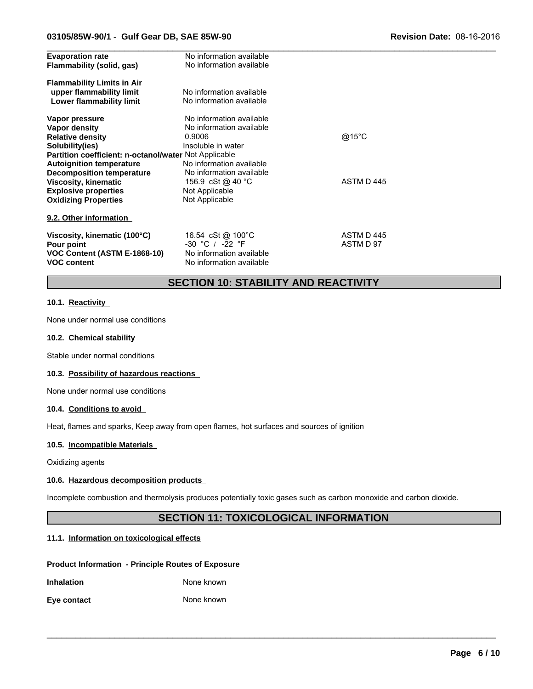### **03105/85W-90/1** - **Gulf Gear DB, SAE 85W-90 Revision Date:** 08-16-2016

| <b>Evaporation rate</b>                               | No information available |            |  |
|-------------------------------------------------------|--------------------------|------------|--|
| Flammability (solid, gas)                             | No information available |            |  |
| <b>Flammability Limits in Air</b>                     |                          |            |  |
| upper flammability limit                              | No information available |            |  |
| Lower flammability limit                              | No information available |            |  |
| Vapor pressure                                        | No information available |            |  |
| Vapor density                                         | No information available |            |  |
| <b>Relative density</b>                               | 0.9006                   | @15°C      |  |
| Solubility(ies)                                       | Insoluble in water       |            |  |
| Partition coefficient: n-octanol/water Not Applicable |                          |            |  |
| <b>Autoignition temperature</b>                       | No information available |            |  |
| Decomposition temperature                             | No information available |            |  |
| <b>Viscosity, kinematic</b>                           | 156.9 cSt @ 40 °C        | ASTM D 445 |  |
| <b>Explosive properties</b>                           | Not Applicable           |            |  |
| <b>Oxidizing Properties</b>                           | Not Applicable           |            |  |
| 9.2. Other information                                |                          |            |  |
| Viscosity, kinematic (100°C)                          | 16.54 cSt @ 100°C        | ASTM D445  |  |
| Pour point                                            | $-30$ °C / $-22$ °F      | ASTM D 97  |  |
| VOC Content (ASTM E-1868-10)                          | No information available |            |  |
| <b>VOC content</b>                                    | No information available |            |  |
|                                                       |                          |            |  |

# **SECTION 10: STABILITY AND REACTIVITY**

# **10.1. Reactivity**

None under normal use conditions

#### **10.2. Chemical stability**

Stable under normal conditions

### **10.3. Possibility of hazardous reactions**

None under normal use conditions

#### **10.4. Conditions to avoid**

Heat, flames and sparks, Keep away from open flames, hot surfaces and sources of ignition

# **10.5. Incompatible Materials**

Oxidizing agents

# **10.6. Hazardous decomposition products**

Incomplete combustion and thermolysis produces potentially toxic gases such as carbon monoxide and carbon dioxide.

# **SECTION 11: TOXICOLOGICAL INFORMATION**

 $\_$  ,  $\_$  ,  $\_$  ,  $\_$  ,  $\_$  ,  $\_$  ,  $\_$  ,  $\_$  ,  $\_$  ,  $\_$  ,  $\_$  ,  $\_$  ,  $\_$  ,  $\_$  ,  $\_$  ,  $\_$  ,  $\_$  ,  $\_$  ,  $\_$  ,  $\_$  ,  $\_$  ,  $\_$  ,  $\_$  ,  $\_$  ,  $\_$  ,  $\_$  ,  $\_$  ,  $\_$  ,  $\_$  ,  $\_$  ,  $\_$  ,  $\_$  ,  $\_$  ,  $\_$  ,  $\_$  ,  $\_$  ,  $\_$  ,

# **11.1. Information on toxicological effects**

#### **Product Information - Principle Routes of Exposure**

| <b>Inhalation</b> | None known |  |
|-------------------|------------|--|
|                   |            |  |

| Eye contact | None known |  |
|-------------|------------|--|
|-------------|------------|--|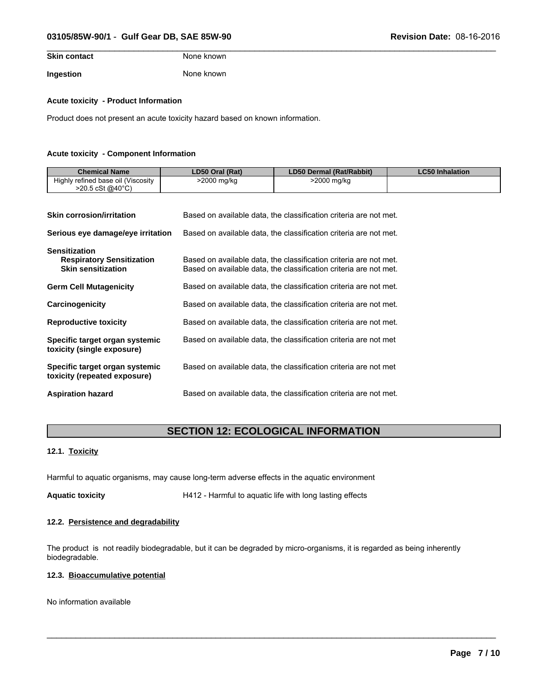# **03105/85W-90/1** - **Gulf Gear DB, SAE 85W-90 Revision Date:** 08-16-2016

| <b>Skin contact</b> | None known |  |
|---------------------|------------|--|
| Ingestion           | None known |  |

#### **Acute toxicity - Product Information**

Product does not present an acute toxicity hazard based on known information.

#### **Acute toxicity - Component Information**

| <b>Chemical Name</b>                                                                  | LD50 Oral (Rat) | LD50 Dermal (Rat/Rabbit)                                                                                                               | <b>LC50 Inhalation</b> |
|---------------------------------------------------------------------------------------|-----------------|----------------------------------------------------------------------------------------------------------------------------------------|------------------------|
| Highly refined base oil (Viscosity<br>$>$ 20.5 cSt @40°C)                             | >2000 mg/kg     | >2000 mg/kg                                                                                                                            |                        |
|                                                                                       |                 |                                                                                                                                        |                        |
| <b>Skin corrosion/irritation</b>                                                      |                 | Based on available data, the classification criteria are not met.                                                                      |                        |
| Serious eye damage/eye irritation                                                     |                 | Based on available data, the classification criteria are not met.                                                                      |                        |
| <b>Sensitization</b><br><b>Respiratory Sensitization</b><br><b>Skin sensitization</b> |                 | Based on available data, the classification criteria are not met.<br>Based on available data, the classification criteria are not met. |                        |
| <b>Germ Cell Mutagenicity</b>                                                         |                 | Based on available data, the classification criteria are not met.                                                                      |                        |
| Carcinogenicity                                                                       |                 | Based on available data, the classification criteria are not met.                                                                      |                        |
| <b>Reproductive toxicity</b>                                                          |                 | Based on available data, the classification criteria are not met.                                                                      |                        |
| Specific target organ systemic<br>toxicity (single exposure)                          |                 | Based on available data, the classification criteria are not met                                                                       |                        |
| Specific target organ systemic<br>toxicity (repeated exposure)                        |                 | Based on available data, the classification criteria are not met                                                                       |                        |
| <b>Aspiration hazard</b>                                                              |                 | Based on available data, the classification criteria are not met.                                                                      |                        |

# **SECTION 12: ECOLOGICAL INFORMATION**

# **12.1. Toxicity**

Harmful to aquatic organisms, may cause long-term adverse effects in the aquatic environment

**Aquatic toxicity** H412 - Harmful to aquatic life with long lasting effects

# **12.2. Persistence and degradability**

The product is not readily biodegradable, but it can be degraded by micro-organisms, it is regarded as being inherently biodegradable.

 $\_$  ,  $\_$  ,  $\_$  ,  $\_$  ,  $\_$  ,  $\_$  ,  $\_$  ,  $\_$  ,  $\_$  ,  $\_$  ,  $\_$  ,  $\_$  ,  $\_$  ,  $\_$  ,  $\_$  ,  $\_$  ,  $\_$  ,  $\_$  ,  $\_$  ,  $\_$  ,  $\_$  ,  $\_$  ,  $\_$  ,  $\_$  ,  $\_$  ,  $\_$  ,  $\_$  ,  $\_$  ,  $\_$  ,  $\_$  ,  $\_$  ,  $\_$  ,  $\_$  ,  $\_$  ,  $\_$  ,  $\_$  ,  $\_$  ,

### **12.3. Bioaccumulative potential**

No information available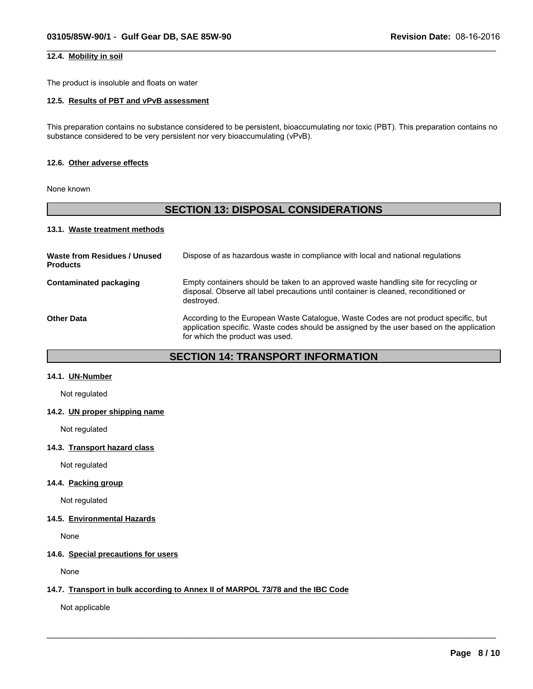# **12.4. Mobility in soil**

The product is insoluble and floats on water

# **12.5. Results of PBT and vPvB assessment**

This preparation contains no substance considered to be persistent, bioaccumulating nor toxic (PBT). This preparation contains no substance considered to be very persistent nor very bioaccumulating (vPvB).

 $\_$  ,  $\_$  ,  $\_$  ,  $\_$  ,  $\_$  ,  $\_$  ,  $\_$  ,  $\_$  ,  $\_$  ,  $\_$  ,  $\_$  ,  $\_$  ,  $\_$  ,  $\_$  ,  $\_$  ,  $\_$  ,  $\_$  ,  $\_$  ,  $\_$  ,  $\_$  ,  $\_$  ,  $\_$  ,  $\_$  ,  $\_$  ,  $\_$  ,  $\_$  ,  $\_$  ,  $\_$  ,  $\_$  ,  $\_$  ,  $\_$  ,  $\_$  ,  $\_$  ,  $\_$  ,  $\_$  ,  $\_$  ,  $\_$  ,

### **12.6. Other adverse effects**

None known

# **SECTION 13: DISPOSAL CONSIDERATIONS**

# **13.1. Waste treatment methods**

| Waste from Residues / Unused<br><b>Products</b> | Dispose of as hazardous waste in compliance with local and national regulations                                                                                                                                      |
|-------------------------------------------------|----------------------------------------------------------------------------------------------------------------------------------------------------------------------------------------------------------------------|
| <b>Contaminated packaging</b>                   | Empty containers should be taken to an approved waste handling site for recycling or<br>disposal. Observe all label precautions until container is cleaned, reconditioned or<br>destroved.                           |
| Other Data                                      | According to the European Waste Catalogue, Waste Codes are not product specific, but<br>application specific. Waste codes should be assigned by the user based on the application<br>for which the product was used. |

# **SECTION 14: TRANSPORT INFORMATION**

 $\_$  ,  $\_$  ,  $\_$  ,  $\_$  ,  $\_$  ,  $\_$  ,  $\_$  ,  $\_$  ,  $\_$  ,  $\_$  ,  $\_$  ,  $\_$  ,  $\_$  ,  $\_$  ,  $\_$  ,  $\_$  ,  $\_$  ,  $\_$  ,  $\_$  ,  $\_$  ,  $\_$  ,  $\_$  ,  $\_$  ,  $\_$  ,  $\_$  ,  $\_$  ,  $\_$  ,  $\_$  ,  $\_$  ,  $\_$  ,  $\_$  ,  $\_$  ,  $\_$  ,  $\_$  ,  $\_$  ,  $\_$  ,  $\_$  ,

#### **14.1. UN-Number**

Not regulated

# **14.2. UN proper shipping name**

Not regulated

#### **14.3. Transport hazard class**

Not regulated

# **14.4. Packing group**

Not regulated

### **14.5. Environmental Hazards**

None

# **14.6. Special precautions for users**

None

#### **14.7. Transport in bulk according to Annex II of MARPOL 73/78 and the IBC Code**

Not applicable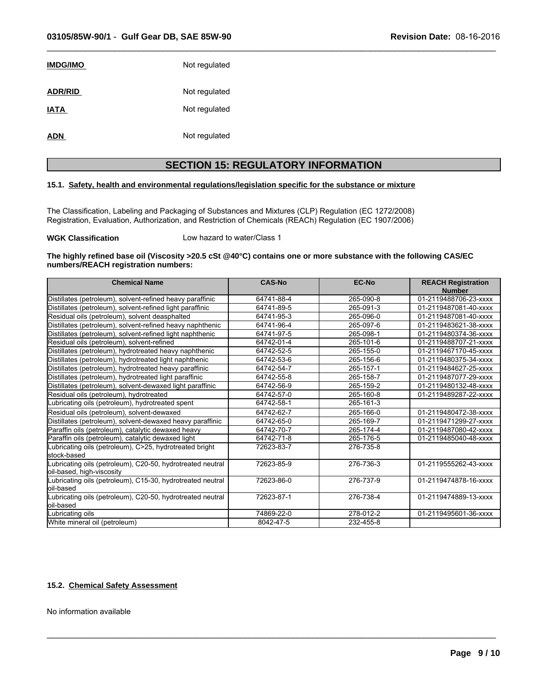| <b>IMDG/IMO</b> | Not regulated |
|-----------------|---------------|
| <b>ADR/RID</b>  | Not regulated |
| <b>IATA</b>     | Not regulated |
| <b>ADN</b>      | Not regulated |

# **SECTION 15: REGULATORY INFORMATION**

 $\_$  ,  $\_$  ,  $\_$  ,  $\_$  ,  $\_$  ,  $\_$  ,  $\_$  ,  $\_$  ,  $\_$  ,  $\_$  ,  $\_$  ,  $\_$  ,  $\_$  ,  $\_$  ,  $\_$  ,  $\_$  ,  $\_$  ,  $\_$  ,  $\_$  ,  $\_$  ,  $\_$  ,  $\_$  ,  $\_$  ,  $\_$  ,  $\_$  ,  $\_$  ,  $\_$  ,  $\_$  ,  $\_$  ,  $\_$  ,  $\_$  ,  $\_$  ,  $\_$  ,  $\_$  ,  $\_$  ,  $\_$  ,  $\_$  ,

# **15.1. Safety, health and environmental regulations/legislation specific for the substance or mixture**

The Classification, Labeling and Packaging of Substances and Mixtures (CLP) Regulation (EC 1272/2008) Registration, Evaluation, Authorization, and Restriction of Chemicals (REACh) Regulation (EC 1907/2006)

#### **WGK Classification** Low hazard to water/Class 1

### **The highly refined base oil (Viscosity >20.5 cSt @40°C) contains one or more substance with the following CAS/EC numbers/REACH registration numbers:**

| <b>Chemical Name</b>                                                                    | <b>CAS-No</b> | EC-No     | <b>REACH Registration</b><br><b>Number</b> |
|-----------------------------------------------------------------------------------------|---------------|-----------|--------------------------------------------|
| Distillates (petroleum), solvent-refined heavy paraffinic                               | 64741-88-4    | 265-090-8 | 01-2119488706-23-xxxx                      |
| Distillates (petroleum), solvent-refined light paraffinic                               | 64741-89-5    | 265-091-3 | 01-2119487081-40-xxxx                      |
| Residual oils (petroleum), solvent deasphalted                                          | 64741-95-3    | 265-096-0 | 01-2119487081-40-xxxx                      |
| Distillates (petroleum), solvent-refined heavy naphthenic                               | 64741-96-4    | 265-097-6 | 01-2119483621-38-xxxx                      |
| Distillates (petroleum), solvent-refined light naphthenic                               | 64741-97-5    | 265-098-1 | 01-2119480374-36-xxxx                      |
| Residual oils (petroleum), solvent-refined                                              | 64742-01-4    | 265-101-6 | 01-2119488707-21-xxxx                      |
| Distillates (petroleum), hydrotreated heavy naphthenic                                  | 64742-52-5    | 265-155-0 | 01-2119467170-45-xxxx                      |
| Distillates (petroleum), hydrotreated light naphthenic                                  | 64742-53-6    | 265-156-6 | 01-2119480375-34-xxxx                      |
| Distillates (petroleum), hydrotreated heavy paraffinic                                  | 64742-54-7    | 265-157-1 | 01-2119484627-25-xxxx                      |
| Distillates (petroleum), hydrotreated light paraffinic                                  | 64742-55-8    | 265-158-7 | 01-2119487077-29-xxxx                      |
| Distillates (petroleum), solvent-dewaxed light paraffinic                               | 64742-56-9    | 265-159-2 | 01-2119480132-48-xxxx                      |
| Residual oils (petroleum), hydrotreated                                                 | 64742-57-0    | 265-160-8 | 01-2119489287-22-xxxx                      |
| Lubricating oils (petroleum), hydrotreated spent                                        | 64742-58-1    | 265-161-3 |                                            |
| Residual oils (petroleum), solvent-dewaxed                                              | 64742-62-7    | 265-166-0 | 01-2119480472-38-xxxx                      |
| Distillates (petroleum), solvent-dewaxed heavy paraffinic                               | 64742-65-0    | 265-169-7 | 01-2119471299-27-xxxx                      |
| Paraffin oils (petroleum), catalytic dewaxed heavy                                      | 64742-70-7    | 265-174-4 | 01-2119487080-42-xxxx                      |
| Paraffin oils (petroleum), catalytic dewaxed light                                      | 64742-71-8    | 265-176-5 | 01-2119485040-48-xxxx                      |
| ubricating oils (petroleum), C>25, hydrotreated bright<br>lstock-based                  | 72623-83-7    | 276-735-8 |                                            |
| Lubricating oils (petroleum), C20-50, hydrotreated neutral<br>oil-based, high-viscosity | 72623-85-9    | 276-736-3 | 01-2119555262-43-xxxx                      |
| Lubricating oils (petroleum), C15-30, hydrotreated neutral<br>loil-based                | 72623-86-0    | 276-737-9 | 01-2119474878-16-xxxx                      |
| Lubricating oils (petroleum), C20-50, hydrotreated neutral<br>loil-based                | 72623-87-1    | 276-738-4 | 01-2119474889-13-xxxx                      |
| Lubricating oils                                                                        | 74869-22-0    | 278-012-2 | 01-2119495601-36-xxxx                      |
| White mineral oil (petroleum)                                                           | 8042-47-5     | 232-455-8 |                                            |

 $\_$  ,  $\_$  ,  $\_$  ,  $\_$  ,  $\_$  ,  $\_$  ,  $\_$  ,  $\_$  ,  $\_$  ,  $\_$  ,  $\_$  ,  $\_$  ,  $\_$  ,  $\_$  ,  $\_$  ,  $\_$  ,  $\_$  ,  $\_$  ,  $\_$  ,  $\_$  ,  $\_$  ,  $\_$  ,  $\_$  ,  $\_$  ,  $\_$  ,  $\_$  ,  $\_$  ,  $\_$  ,  $\_$  ,  $\_$  ,  $\_$  ,  $\_$  ,  $\_$  ,  $\_$  ,  $\_$  ,  $\_$  ,  $\_$  ,

# **15.2. Chemical Safety Assessment**

No information available